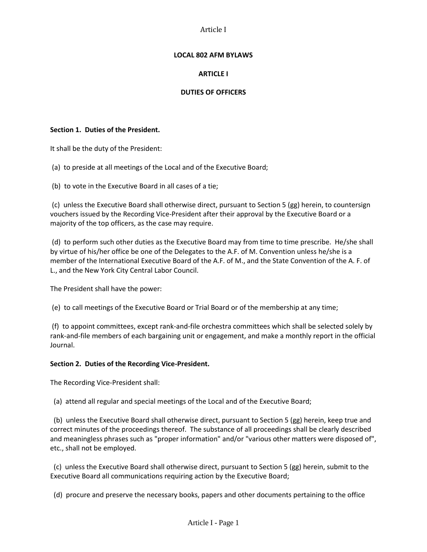## **LOCAL 802 AFM BYLAWS**

# **ARTICLE I**

## **DUTIES OF OFFICERS**

## **Section 1. Duties of the President.**

It shall be the duty of the President:

(a) to preside at all meetings of the Local and of the Executive Board;

(b) to vote in the Executive Board in all cases of a tie;

(c) unless the Executive Board shall otherwise direct, pursuant to Section 5 (gg) herein, to countersign vouchers issued by the Recording Vice-President after their approval by the Executive Board or a majority of the top officers, as the case may require.

(d) to perform such other duties as the Executive Board may from time to time prescribe. He/she shall by virtue of his/her office be one of the Delegates to the A.F. of M. Convention unless he/she is a member of the International Executive Board of the A.F. of M., and the State Convention of the A. F. of L., and the New York City Central Labor Council.

The President shall have the power:

(e) to call meetings of the Executive Board or Trial Board or of the membership at any time;

(f) to appoint committees, except rank-and-file orchestra committees which shall be selected solely by rank-and-file members of each bargaining unit or engagement, and make a monthly report in the official Journal.

## **Section 2. Duties of the Recording Vice-President.**

The Recording Vice-President shall:

(a) attend all regular and special meetings of the Local and of the Executive Board;

 (b) unless the Executive Board shall otherwise direct, pursuant to Section 5 (gg) herein, keep true and correct minutes of the proceedings thereof. The substance of all proceedings shall be clearly described and meaningless phrases such as "proper information" and/or "various other matters were disposed of", etc., shall not be employed.

 (c) unless the Executive Board shall otherwise direct, pursuant to Section 5 (gg) herein, submit to the Executive Board all communications requiring action by the Executive Board;

(d) procure and preserve the necessary books, papers and other documents pertaining to the office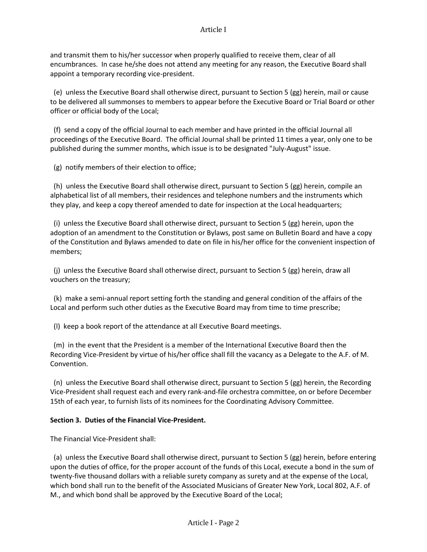and transmit them to his/her successor when properly qualified to receive them, clear of all encumbrances. In case he/she does not attend any meeting for any reason, the Executive Board shall appoint a temporary recording vice-president.

 (e) unless the Executive Board shall otherwise direct, pursuant to Section 5 (gg) herein, mail or cause to be delivered all summonses to members to appear before the Executive Board or Trial Board or other officer or official body of the Local;

 (f) send a copy of the official Journal to each member and have printed in the official Journal all proceedings of the Executive Board. The official Journal shall be printed 11 times a year, only one to be published during the summer months, which issue is to be designated "July-August" issue.

(g) notify members of their election to office;

 (h) unless the Executive Board shall otherwise direct, pursuant to Section 5 (gg) herein, compile an alphabetical list of all members, their residences and telephone numbers and the instruments which they play, and keep a copy thereof amended to date for inspection at the Local headquarters;

 (i) unless the Executive Board shall otherwise direct, pursuant to Section 5 (gg) herein, upon the adoption of an amendment to the Constitution or Bylaws, post same on Bulletin Board and have a copy of the Constitution and Bylaws amended to date on file in his/her office for the convenient inspection of members;

 (j) unless the Executive Board shall otherwise direct, pursuant to Section 5 (gg) herein, draw all vouchers on the treasury;

 (k) make a semi-annual report setting forth the standing and general condition of the affairs of the Local and perform such other duties as the Executive Board may from time to time prescribe;

(l) keep a book report of the attendance at all Executive Board meetings.

 (m) in the event that the President is a member of the International Executive Board then the Recording Vice-President by virtue of his/her office shall fill the vacancy as a Delegate to the A.F. of M. Convention.

 (n) unless the Executive Board shall otherwise direct, pursuant to Section 5 (gg) herein, the Recording Vice-President shall request each and every rank-and-file orchestra committee, on or before December 15th of each year, to furnish lists of its nominees for the Coordinating Advisory Committee.

## **Section 3. Duties of the Financial Vice-President.**

The Financial Vice-President shall:

 (a) unless the Executive Board shall otherwise direct, pursuant to Section 5 (gg) herein, before entering upon the duties of office, for the proper account of the funds of this Local, execute a bond in the sum of twenty-five thousand dollars with a reliable surety company as surety and at the expense of the Local, which bond shall run to the benefit of the Associated Musicians of Greater New York, Local 802, A.F. of M., and which bond shall be approved by the Executive Board of the Local;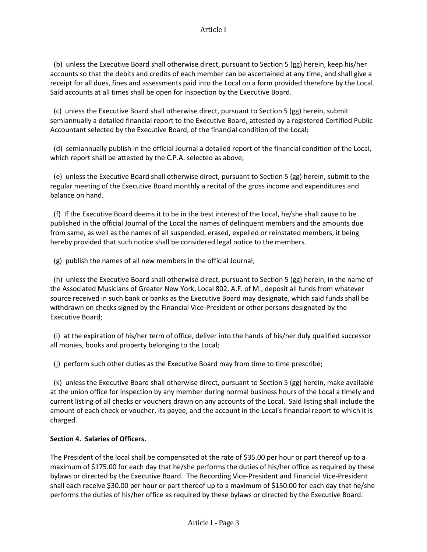(b) unless the Executive Board shall otherwise direct, pursuant to Section 5 (gg) herein, keep his/her accounts so that the debits and credits of each member can be ascertained at any time, and shall give a receipt for all dues, fines and assessments paid into the Local on a form provided therefore by the Local. Said accounts at all times shall be open for inspection by the Executive Board.

 (c) unless the Executive Board shall otherwise direct, pursuant to Section 5 (gg) herein, submit semiannually a detailed financial report to the Executive Board, attested by a registered Certified Public Accountant selected by the Executive Board, of the financial condition of the Local;

 (d) semiannually publish in the official Journal a detailed report of the financial condition of the Local, which report shall be attested by the C.P.A. selected as above;

 (e) unless the Executive Board shall otherwise direct, pursuant to Section 5 (gg) herein, submit to the regular meeting of the Executive Board monthly a recital of the gross income and expenditures and balance on hand.

 (f) If the Executive Board deems it to be in the best interest of the Local, he/she shall cause to be published in the official Journal of the Local the names of delinquent members and the amounts due from same, as well as the names of all suspended, erased, expelled or reinstated members, it being hereby provided that such notice shall be considered legal notice to the members.

(g) publish the names of all new members in the official Journal;

 (h) unless the Executive Board shall otherwise direct, pursuant to Section 5 (gg) herein, in the name of the Associated Musicians of Greater New York, Local 802, A.F. of M., deposit all funds from whatever source received in such bank or banks as the Executive Board may designate, which said funds shall be withdrawn on checks signed by the Financial Vice-President or other persons designated by the Executive Board;

 (i) at the expiration of his/her term of office, deliver into the hands of his/her duly qualified successor all monies, books and property belonging to the Local;

(j) perform such other duties as the Executive Board may from time to time prescribe;

 (k) unless the Executive Board shall otherwise direct, pursuant to Section 5 (gg) herein, make available at the union office for inspection by any member during normal business hours of the Local a timely and current listing of all checks or vouchers drawn on any accounts of the Local. Said listing shall include the amount of each check or voucher, its payee, and the account in the Local's financial report to which it is charged.

# **Section 4. Salaries of Officers.**

The President of the local shall be compensated at the rate of \$35.00 per hour or part thereof up to a maximum of \$175.00 for each day that he/she performs the duties of his/her office as required by these bylaws or directed by the Executive Board. The Recording Vice-President and Financial Vice-President shall each receive \$30.00 per hour or part thereof up to a maximum of \$150.00 for each day that he/she performs the duties of his/her office as required by these bylaws or directed by the Executive Board.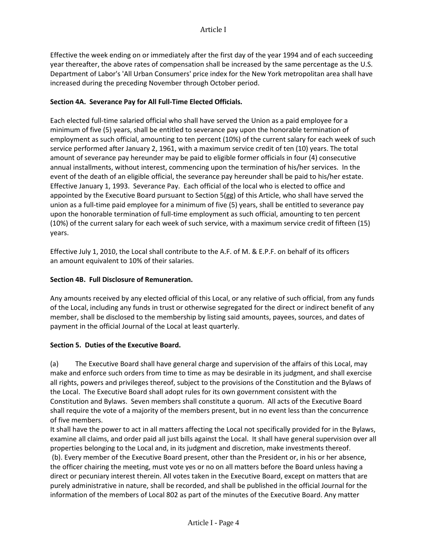Effective the week ending on or immediately after the first day of the year 1994 and of each succeeding year thereafter, the above rates of compensation shall be increased by the same percentage as the U.S. Department of Labor's 'All Urban Consumers' price index for the New York metropolitan area shall have increased during the preceding November through October period.

### **Section 4A. Severance Pay for All Full-Time Elected Officials.**

Each elected full-time salaried official who shall have served the Union as a paid employee for a minimum of five (5) years, shall be entitled to severance pay upon the honorable termination of employment as such official, amounting to ten percent (10%) of the current salary for each week of such service performed after January 2, 1961, with a maximum service credit of ten (10) years. The total amount of severance pay hereunder may be paid to eligible former officials in four (4) consecutive annual installments, without interest, commencing upon the termination of his/her services. In the event of the death of an eligible official, the severance pay hereunder shall be paid to his/her estate. Effective January 1, 1993. Severance Pay. Each official of the local who is elected to office and appointed by the Executive Board pursuant to Section 5(gg) of this Article, who shall have served the union as a full-time paid employee for a minimum of five (5) years, shall be entitled to severance pay upon the honorable termination of full-time employment as such official, amounting to ten percent (10%) of the current salary for each week of such service, with a maximum service credit of fifteen (15) years.

Effective July 1, 2010, the Local shall contribute to the A.F. of M. & E.P.F. on behalf of its officers an amount equivalent to 10% of their salaries.

### **Section 4B. Full Disclosure of Remuneration.**

Any amounts received by any elected official of this Local, or any relative of such official, from any funds of the Local, including any funds in trust or otherwise segregated for the direct or indirect benefit of any member, shall be disclosed to the membership by listing said amounts, payees, sources, and dates of payment in the official Journal of the Local at least quarterly.

#### **Section 5. Duties of the Executive Board.**

(a) The Executive Board shall have general charge and supervision of the affairs of this Local, may make and enforce such orders from time to time as may be desirable in its judgment, and shall exercise all rights, powers and privileges thereof, subject to the provisions of the Constitution and the Bylaws of the Local. The Executive Board shall adopt rules for its own government consistent with the Constitution and Bylaws. Seven members shall constitute a quorum. All acts of the Executive Board shall require the vote of a majority of the members present, but in no event less than the concurrence of five members.

It shall have the power to act in all matters affecting the Local not specifically provided for in the Bylaws, examine all claims, and order paid all just bills against the Local. It shall have general supervision over all properties belonging to the Local and, in its judgment and discretion, make investments thereof. (b). Every member of the Executive Board present, other than the President or, in his or her absence, the officer chairing the meeting, must vote yes or no on all matters before the Board unless having a direct or pecuniary interest therein. All votes taken in the Executive Board, except on matters that are purely administrative in nature, shall be recorded, and shall be published in the official Journal for the information of the members of Local 802 as part of the minutes of the Executive Board. Any matter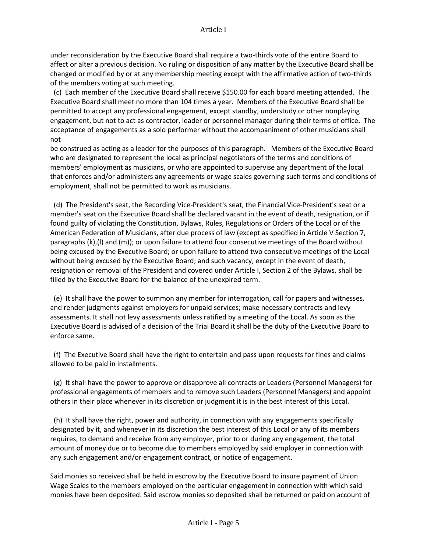under reconsideration by the Executive Board shall require a two-thirds vote of the entire Board to affect or alter a previous decision. No ruling or disposition of any matter by the Executive Board shall be changed or modified by or at any membership meeting except with the affirmative action of two-thirds of the members voting at such meeting.

 (c) Each member of the Executive Board shall receive \$150.00 for each board meeting attended. The Executive Board shall meet no more than 104 times a year. Members of the Executive Board shall be permitted to accept any professional engagement, except standby, understudy or other nonplaying engagement, but not to act as contractor, leader or personnel manager during their terms of office. The acceptance of engagements as a solo performer without the accompaniment of other musicians shall not

be construed as acting as a leader for the purposes of this paragraph. Members of the Executive Board who are designated to represent the local as principal negotiators of the terms and conditions of members' employment as musicians, or who are appointed to supervise any department of the local that enforces and/or administers any agreements or wage scales governing such terms and conditions of employment, shall not be permitted to work as musicians.

 (d) The President's seat, the Recording Vice-President's seat, the Financial Vice-President's seat or a member's seat on the Executive Board shall be declared vacant in the event of death, resignation, or if found guilty of violating the Constitution, Bylaws, Rules, Regulations or Orders of the Local or of the American Federation of Musicians, after due process of law (except as specified in Article V Section 7, paragraphs (k),(l) and (m)); or upon failure to attend four consecutive meetings of the Board without being excused by the Executive Board; or upon failure to attend two consecutive meetings of the Local without being excused by the Executive Board; and such vacancy, except in the event of death, resignation or removal of the President and covered under Article I, Section 2 of the Bylaws, shall be filled by the Executive Board for the balance of the unexpired term.

 (e) It shall have the power to summon any member for interrogation, call for papers and witnesses, and render judgments against employers for unpaid services; make necessary contracts and levy assessments. It shall not levy assessments unless ratified by a meeting of the Local. As soon as the Executive Board is advised of a decision of the Trial Board it shall be the duty of the Executive Board to enforce same.

 (f) The Executive Board shall have the right to entertain and pass upon requests for fines and claims allowed to be paid in installments.

 (g) It shall have the power to approve or disapprove all contracts or Leaders (Personnel Managers) for professional engagements of members and to remove such Leaders (Personnel Managers) and appoint others in their place whenever in its discretion or judgment it is in the best interest of this Local.

 (h) It shall have the right, power and authority, in connection with any engagements specifically designated by it, and whenever in its discretion the best interest of this Local or any of its members requires, to demand and receive from any employer, prior to or during any engagement, the total amount of money due or to become due to members employed by said employer in connection with any such engagement and/or engagement contract, or notice of engagement.

Said monies so received shall be held in escrow by the Executive Board to insure payment of Union Wage Scales to the members employed on the particular engagement in connection with which said monies have been deposited. Said escrow monies so deposited shall be returned or paid on account of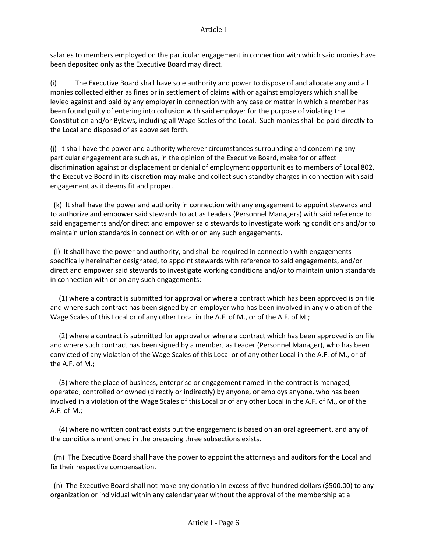salaries to members employed on the particular engagement in connection with which said monies have been deposited only as the Executive Board may direct.

(i) The Executive Board shall have sole authority and power to dispose of and allocate any and all monies collected either as fines or in settlement of claims with or against employers which shall be levied against and paid by any employer in connection with any case or matter in which a member has been found guilty of entering into collusion with said employer for the purpose of violating the Constitution and/or Bylaws, including all Wage Scales of the Local. Such monies shall be paid directly to the Local and disposed of as above set forth.

(j) It shall have the power and authority wherever circumstances surrounding and concerning any particular engagement are such as, in the opinion of the Executive Board, make for or affect discrimination against or displacement or denial of employment opportunities to members of Local 802, the Executive Board in its discretion may make and collect such standby charges in connection with said engagement as it deems fit and proper.

 (k) It shall have the power and authority in connection with any engagement to appoint stewards and to authorize and empower said stewards to act as Leaders (Personnel Managers) with said reference to said engagements and/or direct and empower said stewards to investigate working conditions and/or to maintain union standards in connection with or on any such engagements.

 (l) It shall have the power and authority, and shall be required in connection with engagements specifically hereinafter designated, to appoint stewards with reference to said engagements, and/or direct and empower said stewards to investigate working conditions and/or to maintain union standards in connection with or on any such engagements:

 (1) where a contract is submitted for approval or where a contract which has been approved is on file and where such contract has been signed by an employer who has been involved in any violation of the Wage Scales of this Local or of any other Local in the A.F. of M., or of the A.F. of M.;

 (2) where a contract is submitted for approval or where a contract which has been approved is on file and where such contract has been signed by a member, as Leader (Personnel Manager), who has been convicted of any violation of the Wage Scales of this Local or of any other Local in the A.F. of M., or of the A.F. of M.;

 (3) where the place of business, enterprise or engagement named in the contract is managed, operated, controlled or owned (directly or indirectly) by anyone, or employs anyone, who has been involved in a violation of the Wage Scales of this Local or of any other Local in the A.F. of M., or of the A.F. of M.;

 (4) where no written contract exists but the engagement is based on an oral agreement, and any of the conditions mentioned in the preceding three subsections exists.

 (m) The Executive Board shall have the power to appoint the attorneys and auditors for the Local and fix their respective compensation.

 (n) The Executive Board shall not make any donation in excess of five hundred dollars (\$500.00) to any organization or individual within any calendar year without the approval of the membership at a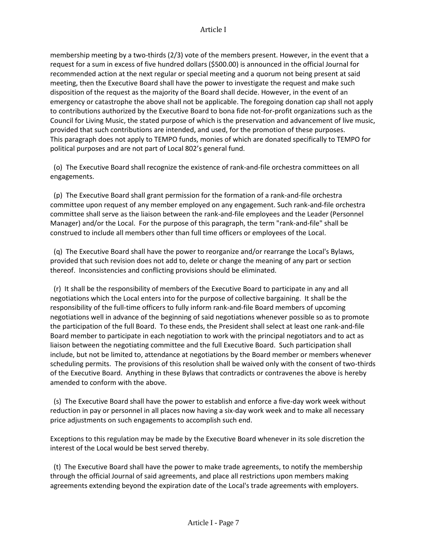membership meeting by a two-thirds (2/3) vote of the members present. However, in the event that a request for a sum in excess of five hundred dollars (\$500.00) is announced in the official Journal for recommended action at the next regular or special meeting and a quorum not being present at said meeting, then the Executive Board shall have the power to investigate the request and make such disposition of the request as the majority of the Board shall decide. However, in the event of an emergency or catastrophe the above shall not be applicable. The foregoing donation cap shall not apply to contributions authorized by the Executive Board to bona fide not-for-profit organizations such as the Council for Living Music, the stated purpose of which is the preservation and advancement of live music, provided that such contributions are intended, and used, for the promotion of these purposes. This paragraph does not apply to TEMPO funds, monies of which are donated specifically to TEMPO for political purposes and are not part of Local 802's general fund.

 (o) The Executive Board shall recognize the existence of rank-and-file orchestra committees on all engagements.

 (p) The Executive Board shall grant permission for the formation of a rank-and-file orchestra committee upon request of any member employed on any engagement. Such rank-and-file orchestra committee shall serve as the liaison between the rank-and-file employees and the Leader (Personnel Manager) and/or the Local. For the purpose of this paragraph, the term "rank-and-file" shall be construed to include all members other than full time officers or employees of the Local.

 (q) The Executive Board shall have the power to reorganize and/or rearrange the Local's Bylaws, provided that such revision does not add to, delete or change the meaning of any part or section thereof. Inconsistencies and conflicting provisions should be eliminated.

 (r) It shall be the responsibility of members of the Executive Board to participate in any and all negotiations which the Local enters into for the purpose of collective bargaining. It shall be the responsibility of the full-time officers to fully inform rank-and-file Board members of upcoming negotiations well in advance of the beginning of said negotiations whenever possible so as to promote the participation of the full Board. To these ends, the President shall select at least one rank-and-file Board member to participate in each negotiation to work with the principal negotiators and to act as liaison between the negotiating committee and the full Executive Board. Such participation shall include, but not be limited to, attendance at negotiations by the Board member or members whenever scheduling permits. The provisions of this resolution shall be waived only with the consent of two-thirds of the Executive Board. Anything in these Bylaws that contradicts or contravenes the above is hereby amended to conform with the above.

 (s) The Executive Board shall have the power to establish and enforce a five-day work week without reduction in pay or personnel in all places now having a six-day work week and to make all necessary price adjustments on such engagements to accomplish such end.

Exceptions to this regulation may be made by the Executive Board whenever in its sole discretion the interest of the Local would be best served thereby.

 (t) The Executive Board shall have the power to make trade agreements, to notify the membership through the official Journal of said agreements, and place all restrictions upon members making agreements extending beyond the expiration date of the Local's trade agreements with employers.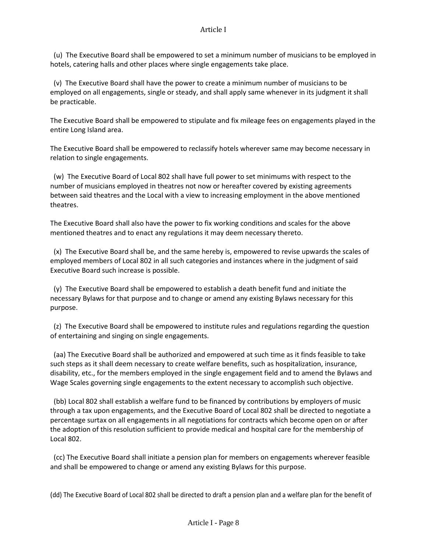(u) The Executive Board shall be empowered to set a minimum number of musicians to be employed in hotels, catering halls and other places where single engagements take place.

 (v) The Executive Board shall have the power to create a minimum number of musicians to be employed on all engagements, single or steady, and shall apply same whenever in its judgment it shall be practicable.

The Executive Board shall be empowered to stipulate and fix mileage fees on engagements played in the entire Long Island area.

The Executive Board shall be empowered to reclassify hotels wherever same may become necessary in relation to single engagements.

 (w) The Executive Board of Local 802 shall have full power to set minimums with respect to the number of musicians employed in theatres not now or hereafter covered by existing agreements between said theatres and the Local with a view to increasing employment in the above mentioned theatres.

The Executive Board shall also have the power to fix working conditions and scales for the above mentioned theatres and to enact any regulations it may deem necessary thereto.

 (x) The Executive Board shall be, and the same hereby is, empowered to revise upwards the scales of employed members of Local 802 in all such categories and instances where in the judgment of said Executive Board such increase is possible.

 (y) The Executive Board shall be empowered to establish a death benefit fund and initiate the necessary Bylaws for that purpose and to change or amend any existing Bylaws necessary for this purpose.

 (z) The Executive Board shall be empowered to institute rules and regulations regarding the question of entertaining and singing on single engagements.

 (aa) The Executive Board shall be authorized and empowered at such time as it finds feasible to take such steps as it shall deem necessary to create welfare benefits, such as hospitalization, insurance, disability, etc., for the members employed in the single engagement field and to amend the Bylaws and Wage Scales governing single engagements to the extent necessary to accomplish such objective.

 (bb) Local 802 shall establish a welfare fund to be financed by contributions by employers of music through a tax upon engagements, and the Executive Board of Local 802 shall be directed to negotiate a percentage surtax on all engagements in all negotiations for contracts which become open on or after the adoption of this resolution sufficient to provide medical and hospital care for the membership of Local 802.

 (cc) The Executive Board shall initiate a pension plan for members on engagements wherever feasible and shall be empowered to change or amend any existing Bylaws for this purpose.

(dd) The Executive Board of Local 802 shall be directed to draft a pension plan and a welfare plan for the benefit of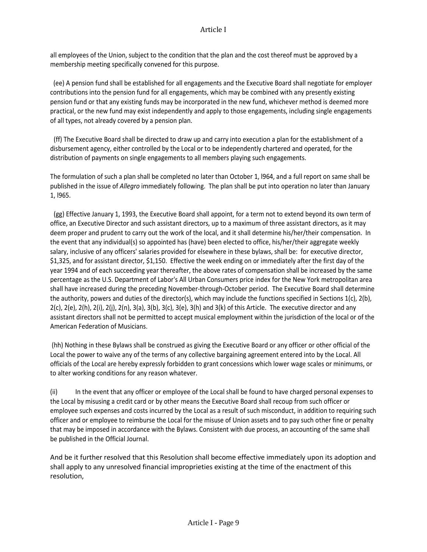all employees of the Union, subject to the condition that the plan and the cost thereof must be approved by a membership meeting specifically convened for this purpose.

 (ee) A pension fund shall be established for all engagements and the Executive Board shall negotiate for employer contributions into the pension fund for all engagements, which may be combined with any presently existing pension fund or that any existing funds may be incorporated in the new fund, whichever method is deemed more practical, or the new fund may exist independently and apply to those engagements, including single engagements of all types, not already covered by a pension plan.

 (ff) The Executive Board shall be directed to draw up and carry into execution a plan for the establishment of a disbursement agency, either controlled by the Local or to be independently chartered and operated, for the distribution of payments on single engagements to all members playing such engagements.

The formulation of such a plan shall be completed no later than October 1, l964, and a full report on same shall be published in the issue of *Allegro* immediately following. The plan shall be put into operation no later than January 1, l965.

 (gg) Effective January 1, 1993, the Executive Board shall appoint, for a term not to extend beyond its own term of office, an Executive Director and such assistant directors, up to a maximum of three assistant directors, as it may deem proper and prudent to carry out the work of the local, and it shall determine his/her/their compensation. In the event that any individual(s) so appointed has (have) been elected to office, his/her/their aggregate weekly salary, inclusive of any officers' salaries provided for elsewhere in these bylaws, shall be: for executive director, \$1,325, and for assistant director, \$1,150. Effective the week ending on or immediately after the first day of the year 1994 and of each succeeding year thereafter, the above rates of compensation shall be increased by the same percentage as the U.S. Department of Labor's All Urban Consumers price index for the New York metropolitan area shall have increased during the preceding November-through-October period. The Executive Board shall determine the authority, powers and duties of the director(s), which may include the functions specified in Sections 1(c), 2(b),  $2(c)$ ,  $2(e)$ ,  $2(h)$ ,  $2(i)$ ,  $2(i)$ ,  $2(n)$ ,  $3(a)$ ,  $3(b)$ ,  $3(c)$ ,  $3(e)$ ,  $3(h)$  and  $3(k)$  of this Article. The executive director and any assistant directors shall not be permitted to accept musical employment within the jurisdiction of the local or of the American Federation of Musicians.

(hh) Nothing in these Bylaws shall be construed as giving the Executive Board or any officer or other official of the Local the power to waive any of the terms of any collective bargaining agreement entered into by the Local. All officials of the Local are hereby expressly forbidden to grant concessions which lower wage scales or minimums, or to alter working conditions for any reason whatever.

(ii) In the event that any officer or employee of the Local shall be found to have charged personal expenses to the Local by misusing a credit card or by other means the Executive Board shall recoup from such officer or employee such expenses and costs incurred by the Local as a result of such misconduct, in addition to requiring such officer and or employee to reimburse the Local for the misuse of Union assets and to pay such other fine or penalty that may be imposed in accordance with the Bylaws. Consistent with due process, an accounting of the same shall be published in the Official Journal.

And be it further resolved that this Resolution shall become effective immediately upon its adoption and shall apply to any unresolved financial improprieties existing at the time of the enactment of this resolution,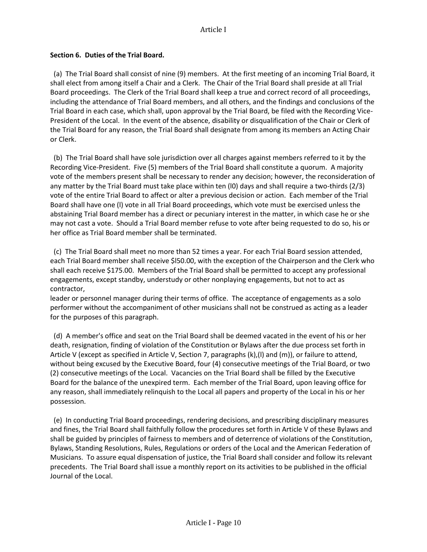#### **Section 6. Duties of the Trial Board.**

 (a) The Trial Board shall consist of nine (9) members. At the first meeting of an incoming Trial Board, it shall elect from among itself a Chair and a Clerk. The Chair of the Trial Board shall preside at all Trial Board proceedings. The Clerk of the Trial Board shall keep a true and correct record of all proceedings, including the attendance of Trial Board members, and all others, and the findings and conclusions of the Trial Board in each case, which shall, upon approval by the Trial Board, be filed with the Recording Vice-President of the Local. In the event of the absence, disability or disqualification of the Chair or Clerk of the Trial Board for any reason, the Trial Board shall designate from among its members an Acting Chair or Clerk.

 (b) The Trial Board shall have sole jurisdiction over all charges against members referred to it by the Recording Vice-President. Five (5) members of the Trial Board shall constitute a quorum. A majority vote of the members present shall be necessary to render any decision; however, the reconsideration of any matter by the Trial Board must take place within ten (l0) days and shall require a two-thirds (2/3) vote of the entire Trial Board to affect or alter a previous decision or action. Each member of the Trial Board shall have one (l) vote in all Trial Board proceedings, which vote must be exercised unless the abstaining Trial Board member has a direct or pecuniary interest in the matter, in which case he or she may not cast a vote. Should a Trial Board member refuse to vote after being requested to do so, his or her office as Trial Board member shall be terminated.

 (c) The Trial Board shall meet no more than 52 times a year. For each Trial Board session attended, each Trial Board member shall receive \$l50.00, with the exception of the Chairperson and the Clerk who shall each receive \$175.00. Members of the Trial Board shall be permitted to accept any professional engagements, except standby, understudy or other nonplaying engagements, but not to act as contractor,

leader or personnel manager during their terms of office. The acceptance of engagements as a solo performer without the accompaniment of other musicians shall not be construed as acting as a leader for the purposes of this paragraph.

 (d) A member's office and seat on the Trial Board shall be deemed vacated in the event of his or her death, resignation, finding of violation of the Constitution or Bylaws after the due process set forth in Article V (except as specified in Article V, Section 7, paragraphs (k),(l) and (m)), or failure to attend, without being excused by the Executive Board, four (4) consecutive meetings of the Trial Board, or two (2) consecutive meetings of the Local. Vacancies on the Trial Board shall be filled by the Executive Board for the balance of the unexpired term. Each member of the Trial Board, upon leaving office for any reason, shall immediately relinquish to the Local all papers and property of the Local in his or her possession.

 (e) In conducting Trial Board proceedings, rendering decisions, and prescribing disciplinary measures and fines, the Trial Board shall faithfully follow the procedures set forth in Article V of these Bylaws and shall be guided by principles of fairness to members and of deterrence of violations of the Constitution, Bylaws, Standing Resolutions, Rules, Regulations or orders of the Local and the American Federation of Musicians. To assure equal dispensation of justice, the Trial Board shall consider and follow its relevant precedents. The Trial Board shall issue a monthly report on its activities to be published in the official Journal of the Local.